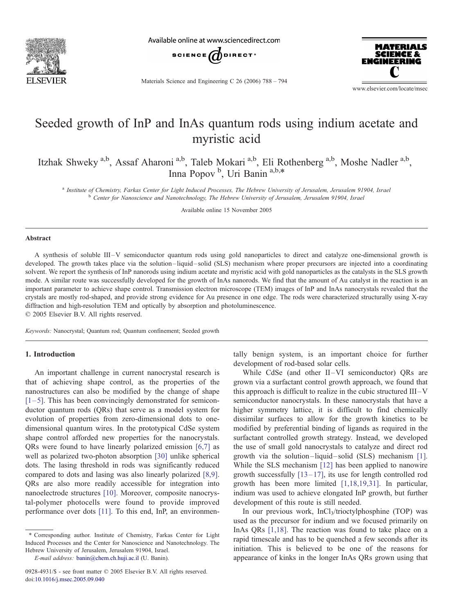

Available online at www.sciencedirect.com



Materials Science and Engineering C 26 (2006) 788 – 794



www.elsevier.com/locate/msec

# Seeded growth of InP and InAs quantum rods using indium acetate and myristic acid

Itzhak Shweky <sup>a,b</sup>, Assaf Aharoni <sup>a,b</sup>, Taleb Mokari <sup>a,b</sup>, Eli Rothenberg <sup>a,b</sup>, Moshe Nadler <sup>a,b</sup>, Inna Popov<sup>b</sup>, Uri Banin<sup>a,b,\*</sup>

<sup>a</sup> Institute of Chemistry, Farkas Center for Light Induced Processes, The Hebrew University of Jerusalem, Jerusalem 91904, Israel <sup>b</sup> Center for Nanoscience and Nanotechnology, The Hebrew University of Jerusalem, Jerusalem 91904, Israel

Available online 15 November 2005

#### Abstract

A synthesis of soluble III –V semiconductor quantum rods using gold nanoparticles to direct and catalyze one-dimensional growth is developed. The growth takes place via the solution –liquid – solid (SLS) mechanism where proper precursors are injected into a coordinating solvent. We report the synthesis of InP nanorods using indium acetate and myristic acid with gold nanoparticles as the catalysts in the SLS growth mode. A similar route was successfully developed for the growth of InAs nanorods. We find that the amount of Au catalyst in the reaction is an important parameter to achieve shape control. Transmission electron microscope (TEM) images of InP and InAs nanocrystals revealed that the crystals are mostly rod-shaped, and provide strong evidence for Au presence in one edge. The rods were characterized structurally using X-ray diffraction and high-resolution TEM and optically by absorption and photoluminescence.  $© 2005 Elsevier B.V. All rights reserved.$ 

Keywords: Nanocrystal; Quantum rod; Quantum confinement; Seeded growth

## 1. Introduction

An important challenge in current nanocrystal research is that of achieving shape control, as the properties of the nanostructures can also be modified by the change of shape  $[1-5]$ . This has been convincingly demonstrated for semiconductor quantum rods (QRs) that serve as a model system for evolution of properties from zero-dimensional dots to onedimensional quantum wires. In the prototypical CdSe system shape control afforded new properties for the nanocrystals. QRs were found to have linearly polarized emission [\[6,7\]](#page-6-0) as well as polarized two-photon absorption [[30\]](#page-6-0) unlike spherical dots. The lasing threshold in rods was significantly reduced compared to dots and lasing was also linearly polarized [\[8,9\].](#page-6-0) QRs are also more readily accessible for integration into nanoelectrode structures [\[10\].](#page-6-0) Moreover, composite nanocrystal-polymer photocells were found to provide improved performance over dots [\[11\]](#page-6-0). To this end, InP, an environmentally benign system, is an important choice for further development of rod-based solar cells.

While CdSe (and other II-VI semiconductor) ORs are grown via a surfactant control growth approach, we found that this approach is difficult to realize in the cubic structured  $III-V$ semiconductor nanocrystals. In these nanocrystals that have a higher symmetry lattice, it is difficult to find chemically dissimilar surfaces to allow for the growth kinetics to be modified by preferential binding of ligands as required in the surfactant controlled growth strategy. Instead, we developed the use of small gold nanocrystals to catalyze and direct rod growth via the solution-liquid-solid (SLS) mechanism [\[1\].](#page-6-0) While the SLS mechanism [[12\]](#page-6-0) has been applied to nanowire growth successfully  $[13-17]$ , its use for length controlled rod growth has been more limited [\[1,18,19,31\].](#page-6-0) In particular, indium was used to achieve elongated InP growth, but further development of this route is still needed.

In our previous work, InCl<sub>3</sub>/trioctylphosphine (TOP) was used as the precursor for indium and we focused primarily on InAs QRs [\[1,18](#page-6-0)]. The reaction was found to take place on a rapid timescale and has to be quenched a few seconds after its initiation. This is believed to be one of the reasons for appearance of kinks in the longer InAs QRs grown using that

<sup>\*</sup> Corresponding author. Institute of Chemistry, Farkas Center for Light Induced Processes and the Center for Nanoscience and Nanotechnology. The Hebrew University of Jerusalem, Jerusalem 91904, Israel.

E-mail address: [banin@chem.ch.huji.ac.il](mailto:banin@chem.ch.huji.ac.il) (U. Banin).

<sup>0928-4931/\$ -</sup> see front matter © 2005 Elsevier B.V. All rights reserved. [doi:10.1016/j.msec.2005.09.040](http://dx.doi.org/10.1016/j.msec.2005.09.040)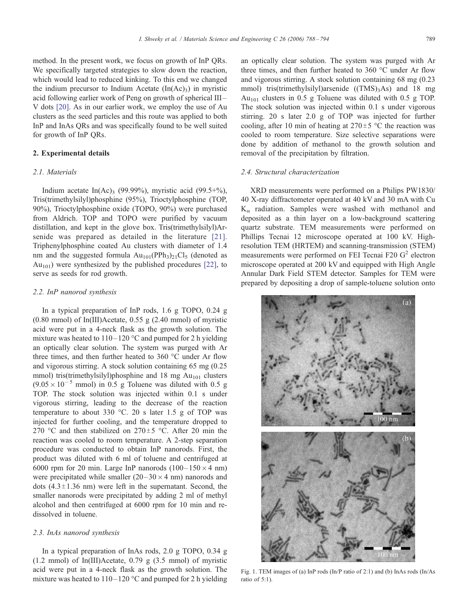<span id="page-1-0"></span>method. In the present work, we focus on growth of InP QRs. We specifically targeted strategies to slow down the reaction, which would lead to reduced kinking. To this end we changed the indium precursor to Indium Acetate  $(In(Ac)<sub>3</sub>)$  in myristic acid following earlier work of Peng on growth of spherical III – V dots [\[20\]](#page-6-0). As in our earlier work, we employ the use of Au clusters as the seed particles and this route was applied to both InP and InAs QRs and was specifically found to be well suited for growth of InP QRs.

# 2. Experimental details

# 2.1. Materials

Indium acetate In(Ac)<sub>3</sub> (99.99%), myristic acid (99.5+%), Tris(trimethylsilyl)phosphine (95%), Trioctylphosphine (TOP, 90%), Trioctylphosphine oxide (TOPO, 90%) were purchased from Aldrich. TOP and TOPO were purified by vacuum distillation, and kept in the glove box. Tris(trimethylsilyl)Arsenide was prepared as detailed in the literature [\[21\].](#page-6-0) Triphenylphosphine coated Au clusters with diameter of 1.4 nm and the suggested formula  $Au_{101}(PPh_3)_2ICl_5$  (denoted as  $Au_{101}$ ) were synthesized by the published procedures [\[22\],](#page-6-0) to serve as seeds for rod growth.

## 2.2. InP nanorod synthesis

In a typical preparation of InP rods, 1.6 g TOPO, 0.24 g (0.80 mmol) of In(III)Acetate, 0.55 g (2.40 mmol) of myristic acid were put in a 4-neck flask as the growth solution. The mixture was heated to  $110 - 120$  °C and pumped for 2 h yielding an optically clear solution. The system was purged with Ar three times, and then further heated to  $360 °C$  under Ar flow and vigorous stirring. A stock solution containing 65 mg (0.25 mmol) tris(trimethylsilyl)phosphine and 18 mg  $Au<sub>101</sub>$  clusters  $(9.05 \times 10^{-5}$  mmol) in 0.5 g Toluene was diluted with 0.5 g TOP. The stock solution was injected within 0.1 s under vigorous stirring, leading to the decrease of the reaction temperature to about 330  $^{\circ}$ C. 20 s later 1.5 g of TOP was injected for further cooling, and the temperature dropped to 270 °C and then stabilized on  $270 \pm 5$  °C. After 20 min the reaction was cooled to room temperature. A 2-step separation procedure was conducted to obtain InP nanorods. First, the product was diluted with 6 ml of toluene and centrifuged at 6000 rpm for 20 min. Large InP nanorods  $(100-150\times4$  nm) were precipitated while smaller  $(20-30 \times 4 \text{ nm})$  nanorods and dots  $(4.3 \pm 1.36 \text{ nm})$  were left in the supernatant. Second, the smaller nanorods were precipitated by adding 2 ml of methyl alcohol and then centrifuged at 6000 rpm for 10 min and redissolved in toluene.

### 2.3. InAs nanorod synthesis

In a typical preparation of InAs rods, 2.0 g TOPO, 0.34 g (1.2 mmol) of In(III)Acetate, 0.79 g (3.5 mmol) of myristic acid were put in a 4-neck flask as the growth solution. The mixture was heated to  $110 - 120$  °C and pumped for 2 h yielding an optically clear solution. The system was purged with Ar three times, and then further heated to  $360 °C$  under Ar flow and vigorous stirring. A stock solution containing 68 mg (0.23 mmol) tris(trimethylsilyl)arsenide  $((TMS)_3As)$  and 18 mg Au<sub>101</sub> clusters in 0.5 g Toluene was diluted with 0.5 g TOP. The stock solution was injected within 0.1 s under vigorous stirring. 20 s later 2.0 g of TOP was injected for further cooling, after 10 min of heating at  $270 \pm 5$  °C the reaction was cooled to room temperature. Size selective separations were done by addition of methanol to the growth solution and removal of the precipitation by filtration.

## 2.4. Structural characterization

XRD measurements were performed on a Philips PW1830/ 40 X-ray diffractometer operated at 40 kV and 30 mA with Cu  $K_{\alpha}$  radiation. Samples were washed with methanol and deposited as a thin layer on a low-background scattering quartz substrate. TEM measurements were performed on Phillips Tecnai 12 microscope operated at 100 kV. Highresolution TEM (HRTEM) and scanning-transmission (STEM) measurements were performed on FEI Tecnai F20  $G<sup>2</sup>$  electron microscope operated at 200 kV and equipped with High Angle Annular Dark Field STEM detector. Samples for TEM were prepared by depositing a drop of sample-toluene solution onto



Fig. 1. TEM images of (a) InP rods (In/P ratio of 2:1) and (b) InAs rods (In/As ratio of 5:1).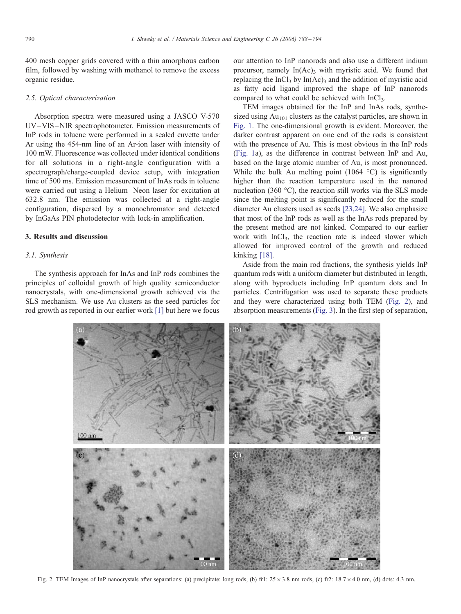<span id="page-2-0"></span>400 mesh copper grids covered with a thin amorphous carbon film, followed by washing with methanol to remove the excess organic residue.

#### 2.5. Optical characterization

Absorption spectra were measured using a JASCO V-570 UV –VIS –NIR spectrophotometer. Emission measurements of InP rods in toluene were performed in a sealed cuvette under Ar using the 454-nm line of an Ar-ion laser with intensity of 100 mW. Fluorescence was collected under identical conditions for all solutions in a right-angle configuration with a spectrograph/charge-coupled device setup, with integration time of 500 ms. Emission measurement of InAs rods in toluene were carried out using a Helium –Neon laser for excitation at 632.8 nm. The emission was collected at a right-angle configuration, dispersed by a monochromator and detected by InGaAs PIN photodetector with lock-in amplification.

# 3. Results and discussion

#### 3.1. Synthesis

The synthesis approach for InAs and InP rods combines the principles of colloidal growth of high quality semiconductor nanocrystals, with one-dimensional growth achieved via the SLS mechanism. We use Au clusters as the seed particles for rod growth as reported in our earlier work [\[1\]](#page-6-0) but here we focus our attention to InP nanorods and also use a different indium precursor, namely  $In(Ac)$ <sub>3</sub> with myristic acid. We found that replacing the  $InCl<sub>3</sub>$  by  $In(Ac)<sub>3</sub>$  and the addition of myristic acid as fatty acid ligand improved the shape of InP nanorods compared to what could be achieved with InCl<sub>3</sub>.

TEM images obtained for the InP and InAs rods, synthesized using  $Au_{101}$  clusters as the catalyst particles, are shown in [Fig.](#page-1-0) [1.](#page-1-0) The one-dimensional growth is evident. Moreover, the darker contrast apparent on one end of the rods is consistent with the presence of Au. This is most obvious in the InP rods ([Fig. 1a](#page-1-0)), as the difference in contrast between InP and Au, based on the large atomic number of Au, is most pronounced. While the bulk Au melting point (1064  $^{\circ}$ C) is significantly higher than the reaction temperature used in the nanorod nucleation (360 $^{\circ}$ C), the reaction still works via the SLS mode since the melting point is significantly reduced for the small diameter Au clusters used as seeds [23[,24\]. W](#page-6-0)e also emphasize that most of the InP rods as well as the InAs rods prepared by the present method are not kinked. Compared to our earlier work with InCl<sub>3</sub>, the reaction rate is indeed slower which allowed for improved control of the growth and reduced kinking [[18\].](#page-6-0)

Aside from the main rod fractions, the synthesis yields InP quantum rods with a uniform diameter but distributed in length, along with byproducts including InP quantum dots and In particles. Centrifugation was used to separate these products and they were characterized using both TEM (Fig. 2), and absorption measurements (Fig[. 3\). In](#page-3-0) the first step of separation,



Fig. 2. TEM Images of InP nanocrystals after separations: (a) precipitate: long rods, (b) fr1:  $25 \times 3.8$  nm rods, (c) fr2:  $18.7 \times 4.0$  nm, (d) dots: 4.3 nm.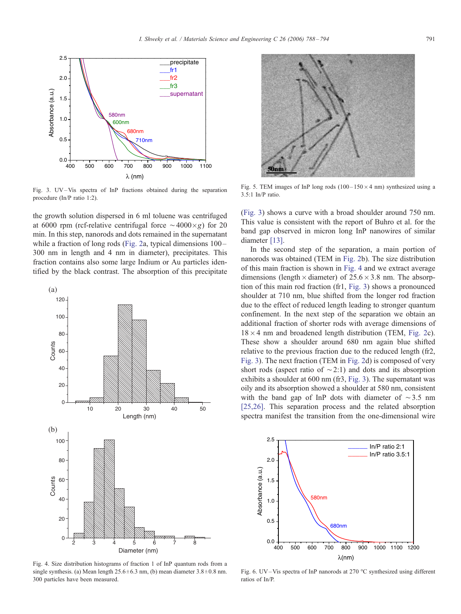<span id="page-3-0"></span>

Fig. 3. UV-Vis spectra of InP fractions obtained during the separation procedure (In/P ratio 1:2).

the growth solution dispersed in 6 ml toluene was centrifuged at 6000 rpm (rcf-relative centrifugal force  $\sim$  4000 $\times$ g) for 20 min. In this step, nanorods and dots remained in the supernatant while a fraction of long rods ([Fig. 2a](#page-2-0), typical dimensions  $100-$ 300 nm in length and 4 nm in diameter), precipitates. This fraction contains also some large Indium or Au particles identified by the black contrast. The absorption of this precipitate



Fig. 4. Size distribution histograms of fraction 1 of InP quantum rods from a single synthesis. (a) Mean length  $25.6 \pm 6.3$  nm, (b) mean diameter  $3.8 \pm 0.8$  nm. 300 particles have been measured.



Fig. 5. TEM images of InP long rods  $(100-150\times4$  nm) synthesized using a 3.5:1 In/P ratio.

(Fig. 3) shows a curve with a broad shoulder around 750 nm. This value is consistent with the report of Buhro et al. for the band gap observed in micron long InP nanowires of similar diameter [\[13](#page-6-0)].

In the second step of the separation, a main portion of nanorods was obtained (TEM in [Fig. 2](#page-2-0)b). The size distribution of this main fraction is shown in Fig. 4 and we extract average dimensions (length  $\times$  diameter) of 25.6  $\times$  3.8 nm. The absorption of this main rod fraction (fr1, Fig. 3) shows a pronounced shoulder at 710 nm, blue shifted from the longer rod fraction due to the effect of reduced length leading to stronger quantum confinement. In the next step of the separation we obtain an additional fraction of shorter rods with average dimensions of  $18 \times 4$  nm and broadened length distribution (TEM, [Fig. 2](#page-2-0)c). These show a shoulder around 680 nm again blue shifted relative to the previous fraction due to the reduced length (fr2, Fig. 3). The next fraction (TEM in [Fig. 2](#page-2-0)d) is composed of very short rods (aspect ratio of  $\sim$  2:1) and dots and its absorption exhibits a shoulder at 600 nm (fr3, Fig. 3). The supernatant was oily and its absorption showed a shoulder at 580 nm, consistent with the band gap of InP dots with diameter of  $\sim$ 3.5 nm [\[25,26](#page-6-0)]. This separation process and the related absorption spectra manifest the transition from the one-dimensional wire



Fig. 6. UV-Vis spectra of InP nanorods at 270  $\degree$ C synthesized using different ratios of In/P.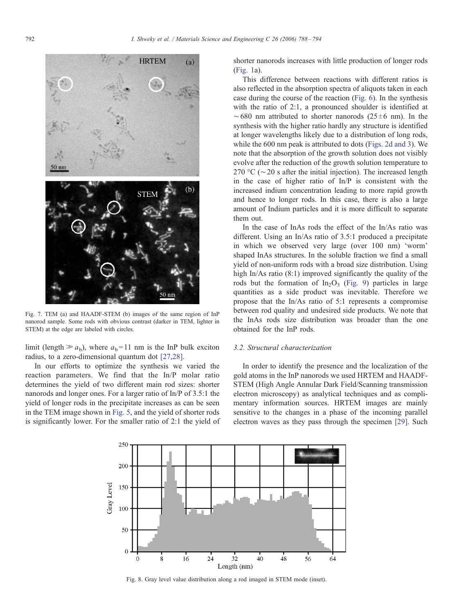<span id="page-4-0"></span>

Fig. 7. TEM (a) and HAADF-STEM (b) images of the same region of InP nanorod sample. Some rods with obvious contrast (darker in TEM, lighter in STEM) at the edge are labeled with circles.

limit (length  $\gg a_b$ ), where  $a_b$ = 11 nm is the InP bulk exciton radius, to a zero-dimensional quantum dot [\[27,28\]](#page-6-0).

In our efforts to optimize the synthesis we varied the reaction parameters. We find that the In/P molar ratio determines the yield of two different main rod sizes: shorter nanorods and longer ones. For a larger ratio of In/P of 3.5:1 the yield of longer rods in the precipitate increases as can be seen in the TEM image shown in Fi[g. 5, a](#page-3-0)nd the yield of shorter rods is significantly lower. For the smaller ratio of 2:1 the yield of shorter nanorods increases with little production of longer rods ([Fig. 1a](#page-1-0)).

This difference between reactions with different ratios is also reflected in the absorption spectra of aliquots taken in each case during the course of the reaction [\(Fig. 6](#page-3-0)). In the synthesis with the ratio of 2:1, a pronounced shoulder is identified at  $\sim$  680 nm attributed to shorter nanorods (25 $\pm$ 6 nm). In the synthesis with the higher ratio hardly any structure is identified at longer wavelengths likely due to a distribution of long rods, while the 600 nm peak is attributed to dots ([Figs. 2d and 3\).](#page-2-0) We note that the absorption of the growth solution does not visibly evolve after the reduction of the growth solution temperature to 270 °C ( $\sim$  20 s after the initial injection). The increased length in the case of higher ratio of In/P is consistent with the increased indium concentration leading to more rapid growth and hence to longer rods. In this case, there is also a large amount of Indium particles and it is more difficult to separate them out.

In the case of InAs rods the effect of the In/As ratio was different. Using an In/As ratio of 3.5:1 produced a precipitate in which we observed very large (over 100 nm) 'worm' shaped InAs structures. In the soluble fraction we find a small yield of non-uniform rods with a broad size distribution. Using high In/As ratio (8:1) improved significantly the quality of the rods but the formation of  $In_2O_3$  (Fig[. 9\) pa](#page-5-0)rticles in large quantities as a side product was inevitable. Therefore we propose that the In/As ratio of 5:1 represents a compromise between rod quality and undesired side products. We note that the InAs rods size distribution was broader than the one obtained for the InP rods.

## 3.2. Structural characterization

In order to identify the presence and the localization of the gold atoms in the InP nanorods we used HRTEM and HAADF-STEM (High Angle Annular Dark Field/Scanning transmission electron microscopy) as analytical techniques and as complimentary information sources. HRTEM images are mainly sensitive to the changes in a phase of the incoming parallel electron waves as they pass through the specimen [\[29](#page-6-0)]. Such



Fig. 8. Gray level value distribution along a rod imaged in STEM mode (inset).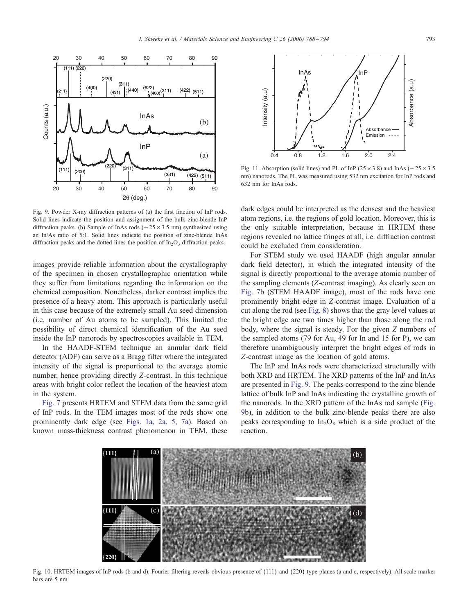<span id="page-5-0"></span>

Fig. 9. Powder X-ray diffraction patterns of (a) the first fraction of InP rods. Solid lines indicate the position and assignment of the bulk zinc-blende InP diffraction peaks. (b) Sample of InAs rods ( $\sim$  25  $\times$  3.5 nm) synthesized using an In/As ratio of 5:1. Solid lines indicate the position of zinc-blende InAs diffraction peaks and the dotted lines the position of  $In_2O_3$  diffraction peaks.

images provide reliable information about the crystallography of the specimen in chosen crystallographic orientation while they suffer from limitations regarding the information on the chemical composition. Nonetheless, darker contrast implies the presence of a heavy atom. This approach is particularly useful in this case because of the extremely small Au seed dimension (i.e. number of Au atoms to be sampled). This limited the possibility of direct chemical identification of the Au seed inside the InP nanorods by spectroscopies available in TEM.

In the HAADF-STEM technique an annular dark field detector (ADF) can serve as a Bragg filter where the integrated intensity of the signal is proportional to the average atomic number, hence providing directly Z-contrast. In this technique areas with bright color reflect the location of the heaviest atom in the system.

[Fig. 7](#page-4-0) presents HRTEM and STEM data from the same grid of InP rods. In the TEM images most of the rods show one prominently dark edge (see [Figs. 1a, 2a, 5, 7a\)](#page-1-0). Based on known mass-thickness contrast phenomenon in TEM, these



Fig. 11. Absorption (solid lines) and PL of InP ( $25 \times 3.8$ ) and InAs ( $\sim 25 \times 3.5$ nm) nanorods. The PL was measured using 532 nm excitation for InP rods and 632 nm for InAs rods.

dark edges could be interpreted as the densest and the heaviest atom regions, i.e. the regions of gold location. Moreover, this is the only suitable interpretation, because in HRTEM these regions revealed no lattice fringes at all, i.e. diffraction contrast could be excluded from consideration.

For STEM study we used HAADF (high angular annular dark field detector), in which the integrated intensity of the signal is directly proportional to the average atomic number of the sampling elements (Z-contrast imaging). As clearly seen on [Fig. 7b](#page-4-0) (STEM HAADF image), most of the rods have one prominently bright edge in Z-contrast image. Evaluation of a cut along the rod (see [Fig. 8](#page-4-0)) shows that the gray level values at the bright edge are two times higher than those along the rod body, where the signal is steady. For the given Z numbers of the sampled atoms (79 for Au, 49 for In and 15 for P), we can therefore unambiguously interpret the bright edges of rods in Z-contrast image as the location of gold atoms.

The InP and InAs rods were characterized structurally with both XRD and HRTEM. The XRD patterns of the InP and InAs are presented in Fig. 9. The peaks correspond to the zinc blende lattice of bulk InP and InAs indicating the crystalline growth of the nanorods. In the XRD pattern of the InAs rod sample (Fig. 9b), in addition to the bulk zinc-blende peaks there are also peaks corresponding to  $In_2O_3$  which is a side product of the reaction.



Fig. 10. HRTEM images of InP rods (b and d). Fourier filtering reveals obvious presence of {111} and {220} type planes (a and c, respectively). All scale marker bars are 5 nm.